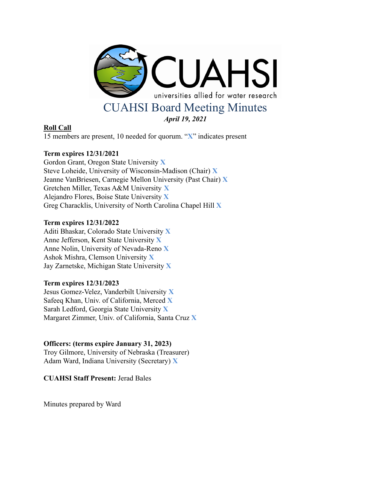

# **Roll Call**

15 members are present, 10 needed for quorum. "**X**" indicates present

# **Term expires 12/31/2021**

Gordon Grant, Oregon State University **X** Steve Loheide, University of Wisconsin-Madison (Chair) **X** Jeanne VanBriesen, Carnegie Mellon University (Past Chair) **X** Gretchen Miller, Texas A&M University **X** Alejandro Flores, Boise State University **X** Greg Characklis, University of North Carolina Chapel Hill **X**

## **Term expires 12/31/2022**

Aditi Bhaskar, Colorado State University **X** Anne Jefferson, Kent State University **X** Anne Nolin, University of Nevada-Reno **X** Ashok Mishra, Clemson University **X** Jay Zarnetske, Michigan State University **X**

## **Term expires 12/31/2023**

Jesus Gomez-Velez, Vanderbilt University **X** Safeeq Khan, Univ. of California, Merced **X** Sarah Ledford, Georgia State University **X** Margaret Zimmer, Univ. of California, Santa Cruz **X**

## **Officers: (terms expire January 31, 2023)**

Troy Gilmore, University of Nebraska (Treasurer) Adam Ward, Indiana University (Secretary) **X**

**CUAHSI Staff Present:** Jerad Bales

Minutes prepared by Ward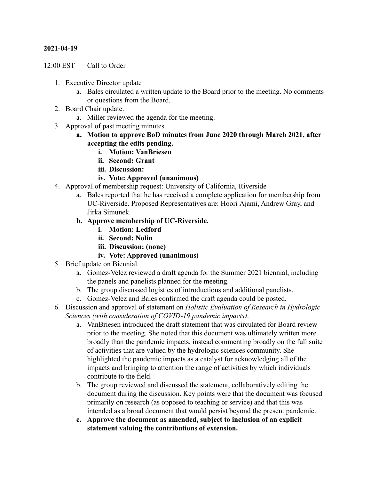## **2021-04-19**

12:00 EST Call to Order

- 1. Executive Director update
	- a. Bales circulated a written update to the Board prior to the meeting. No comments or questions from the Board.
- 2. Board Chair update.
	- a. Miller reviewed the agenda for the meeting.
- 3. Approval of past meeting minutes.
	- **a. Motion to approve BoD minutes from June 2020 through March 2021, after accepting the edits pending.**
		- **i. Motion: VanBriesen**
		- **ii. Second: Grant**
		- **iii. Discussion:**
		- **iv. Vote: Approved (unanimous)**
- 4. Approval of membership request: University of California, Riverside
	- a. Bales reported that he has received a complete application for membership from UC-Riverside. Proposed Representatives are: Hoori Ajami, Andrew Gray, and Jirka Simunek.
	- **b. Approve membership of UC-Riverside.**
		- **i. Motion: Ledford**
		- **ii. Second: Nolin**
		- **iii. Discussion: (none)**
		- **iv. Vote: Approved (unanimous)**
- 5. Brief update on Biennial.
	- a. Gomez-Velez reviewed a draft agenda for the Summer 2021 biennial, including the panels and panelists planned for the meeting.
	- b. The group discussed logistics of introductions and additional panelists.
	- c. Gomez-Velez and Bales confirmed the draft agenda could be posted.
- 6. Discussion and approval of statement on *Holistic Evaluation of Research in Hydrologic Sciences (with consideration of COVID-19 pandemic impacts)*.
	- a. VanBriesen introduced the draft statement that was circulated for Board review prior to the meeting. She noted that this document was ultimately written more broadly than the pandemic impacts, instead commenting broadly on the full suite of activities that are valued by the hydrologic sciences community. She highlighted the pandemic impacts as a catalyst for acknowledging all of the impacts and bringing to attention the range of activities by which individuals contribute to the field.
	- b. The group reviewed and discussed the statement, collaboratively editing the document during the discussion. Key points were that the document was focused primarily on research (as opposed to teaching or service) and that this was intended as a broad document that would persist beyond the present pandemic.
	- **c. Approve the document as amended, subject to inclusion of an explicit statement valuing the contributions of extension.**